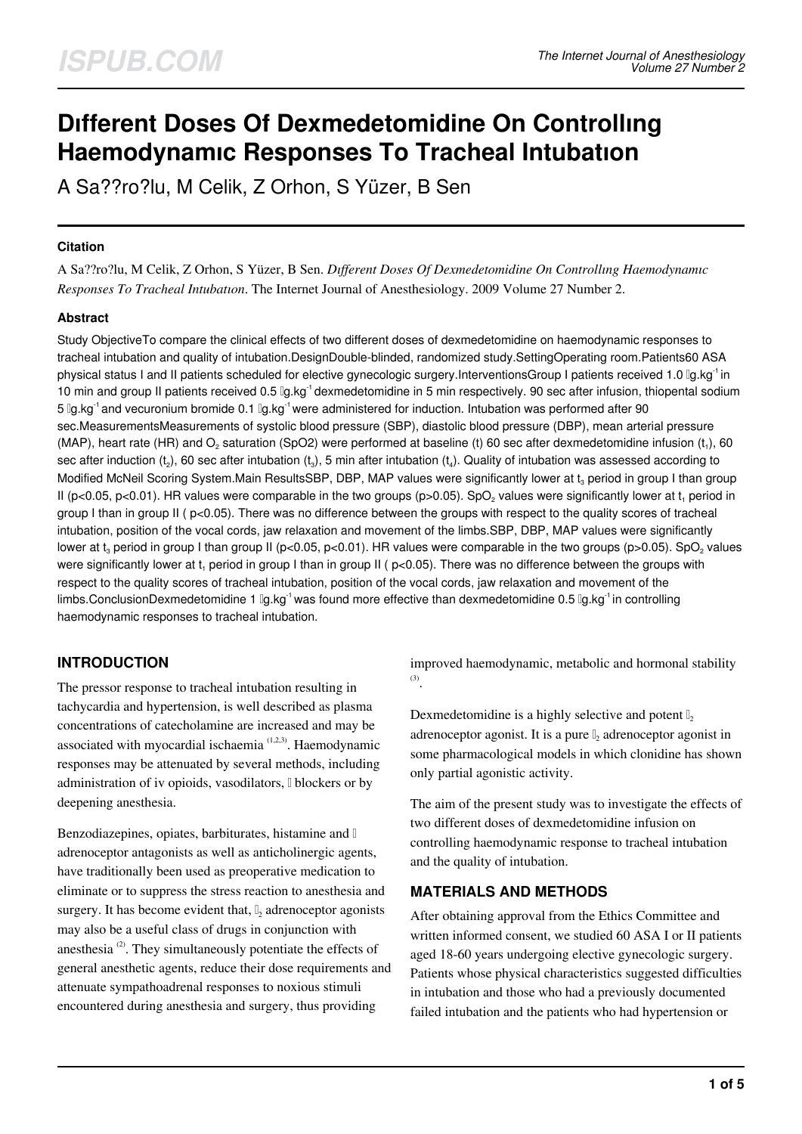# **Dıfferent Doses Of Dexmedetomidine On Controllıng Haemodynamıc Responses To Tracheal Intubatıon**

A Sa??ro?lu, M Celik, Z Orhon, S Yüzer, B Sen

## **Citation**

A Sa??ro?lu, M Celik, Z Orhon, S Yüzer, B Sen. *Dıfferent Doses Of Dexmedetomidine On Controllıng Haemodynamıc Responses To Tracheal Intubatıon*. The Internet Journal of Anesthesiology. 2009 Volume 27 Number 2.

# **Abstract**

Study ObjectiveTo compare the clinical effects of two different doses of dexmedetomidine on haemodynamic responses to tracheal intubation and quality of intubation.DesignDouble-blinded, randomized study.SettingOperating room.Patients60 ASA physical status I and II patients scheduled for elective gynecologic surgery.InterventionsGroup I patients received 1.0 μg.kg-1 in 10 min and group II patients received 0.5  $\alpha$ kg<sup>-1</sup> dexmedetomidine in 5 min respectively. 90 sec after infusion, thiopental sodium 5 llg.kg<sup>-1</sup> and vecuronium bromide 0.1 llg.kg<sup>-1</sup> were administered for induction. Intubation was performed after 90 sec.MeasurementsMeasurements of systolic blood pressure (SBP), diastolic blood pressure (DBP), mean arterial pressure (MAP), heart rate (HR) and O<sub>2</sub> saturation (SpO2) were performed at baseline (t) 60 sec after dexmedetomidine infusion (t<sub>1</sub>), 60 sec after induction (t $_2$ ), 60 sec after intubation (t $_3$ ), 5 min after intubation (t $_4$ ). Quality of intubation was assessed according to Modified McNeil Scoring System.Main ResultsSBP, DBP, MAP values were significantly lower at t $_{\rm 3}$  period in group I than group II (p<0.05, p<0.01). HR values were comparable in the two groups (p>0.05). SpO<sub>2</sub> values were significantly lower at t<sub>1</sub> period in group I than in group II ( p<0.05). There was no difference between the groups with respect to the quality scores of tracheal intubation, position of the vocal cords, jaw relaxation and movement of the limbs.SBP, DBP, MAP values were significantly lower at t $_{\rm 3}$  period in group I than group II (p<0.05, p<0.01). HR values were comparable in the two groups (p>0.05). SpO $_{\rm 2}$  values were significantly lower at t<sub>1</sub> period in group I than in group II ( p<0.05). There was no difference between the groups with respect to the quality scores of tracheal intubation, position of the vocal cords, jaw relaxation and movement of the limbs.ConclusionDexmedetomidine 1  $\lg$ .kg<sup>-1</sup> was found more effective than dexmedetomidine 0.5  $\lg$ .kg<sup>-1</sup> in controlling haemodynamic responses to tracheal intubation.

# **INTRODUCTION**

The pressor response to tracheal intubation resulting in tachycardia and hypertension, is well described as plasma concentrations of catecholamine are increased and may be associated with myocardial ischaemia<sup>(1,2,3)</sup>. Haemodynamic responses may be attenuated by several methods, including administration of iv opioids, vasodilators, I blockers or by deepening anesthesia.

Benzodiazepines, opiates, barbiturates, histamine and adrenoceptor antagonists as well as anticholinergic agents, have traditionally been used as preoperative medication to eliminate or to suppress the stress reaction to anesthesia and surgery. It has become evident that,  $\mathbb{I}_2$  adrenoceptor agonists may also be a useful class of drugs in conjunction with anesthesia  $(2)$ . They simultaneously potentiate the effects of general anesthetic agents, reduce their dose requirements and attenuate sympathoadrenal responses to noxious stimuli encountered during anesthesia and surgery, thus providing

improved haemodynamic, metabolic and hormonal stability (3) .

Dexmedetomidine is a highly selective and potent  $\mathbb{I}$ , adrenoceptor agonist. It is a pure  $\mathbb{I}_2$  adrenoceptor agonist in some pharmacological models in which clonidine has shown only partial agonistic activity.

The aim of the present study was to investigate the effects of two different doses of dexmedetomidine infusion on controlling haemodynamic response to tracheal intubation and the quality of intubation.

# **MATERIALS AND METHODS**

After obtaining approval from the Ethics Committee and written informed consent, we studied 60 ASA I or II patients aged 18-60 years undergoing elective gynecologic surgery. Patients whose physical characteristics suggested difficulties in intubation and those who had a previously documented failed intubation and the patients who had hypertension or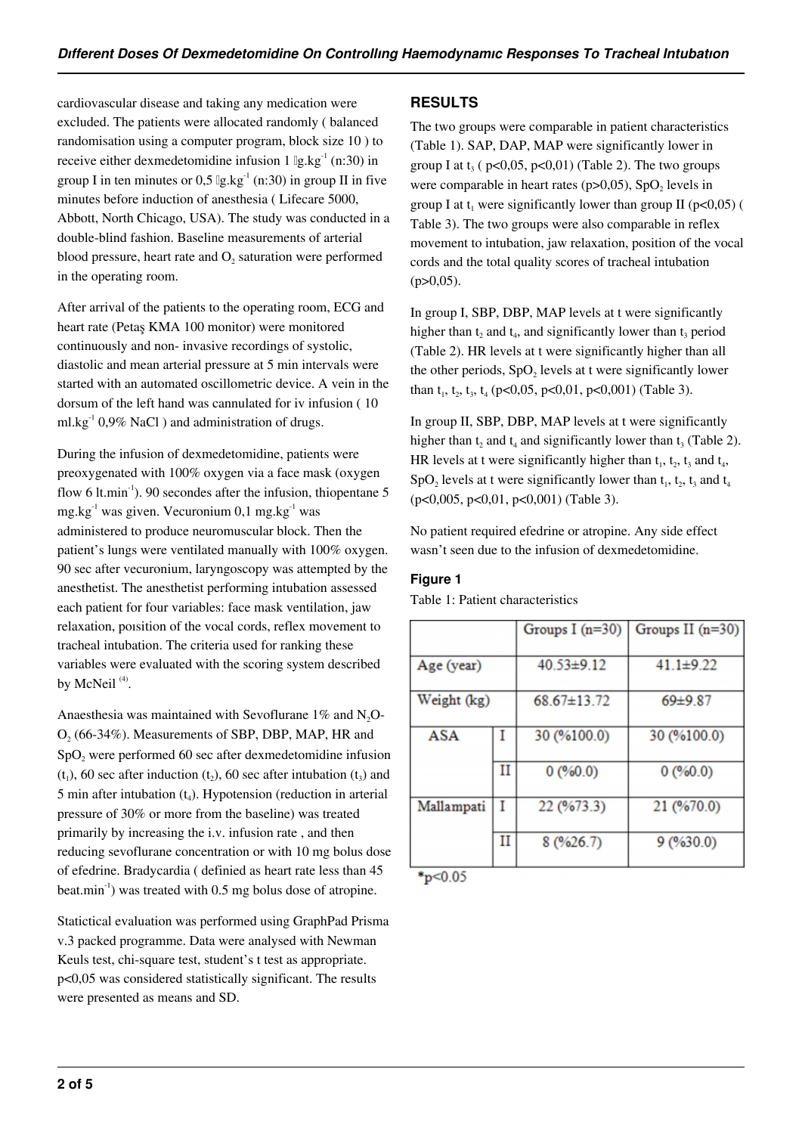cardiovascular disease and taking any medication were excluded. The patients were allocated randomly ( balanced randomisation using a computer program, block size 10 ) to receive either dexmedetomidine infusion  $1 \, \text{lg.kg}^{-1}$  (n:30) in group I in ten minutes or 0,5  $\lg \lg \lg^{-1}(n:30)$  in group II in five minutes before induction of anesthesia ( Lifecare 5000, Abbott, North Chicago, USA). The study was conducted in a double-blind fashion. Baseline measurements of arterial blood pressure, heart rate and  $O_2$  saturation were performed in the operating room.

After arrival of the patients to the operating room, ECG and heart rate (Petaş KMA 100 monitor) were monitored continuously and non- invasive recordings of systolic, diastolic and mean arterial pressure at 5 min intervals were started with an automated oscillometric device. A vein in the dorsum of the left hand was cannulated for iv infusion ( 10  $ml.kg^{-1}$  0,9% NaCl ) and administration of drugs.

During the infusion of dexmedetomidine, patients were preoxygenated with 100% oxygen via a face mask (oxygen flow 6 lt.min<sup>-1</sup>). 90 secondes after the infusion, thiopentane 5 mg.kg $^{-1}$  was given. Vecuronium 0,1 mg.kg $^{-1}$  was administered to produce neuromuscular block. Then the patient's lungs were ventilated manually with 100% oxygen. 90 sec after vecuronium, laryngoscopy was attempted by the anesthetist. The anesthetist performing intubation assessed each patient for four variables: face mask ventilation, jaw relaxation, poısition of the vocal cords, reflex movement to tracheal intubation. The criteria used for ranking these variables were evaluated with the scoring system described by McNeil $^{(4)}$ .

Anaesthesia was maintained with Sevoflurane  $1\%$  and N<sub>2</sub>O- $O_2$  (66-34%). Measurements of SBP, DBP, MAP, HR and  $SpO<sub>2</sub>$  were performed 60 sec after dexmedetomidine infusion  $(t_1)$ , 60 sec after induction  $(t_2)$ , 60 sec after intubation  $(t_3)$  and  $5$  min after intubation  $(t_4)$ . Hypotension (reduction in arterial pressure of 30% or more from the baseline) was treated primarily by increasing the i.v. infusion rate , and then reducing sevoflurane concentration or with 10 mg bolus dose of efedrine. Bradycardia ( definied as heart rate less than 45 beat.min<sup>-1</sup>) was treated with 0.5 mg bolus dose of atropine.

Statictical evaluation was performed using GraphPad Prisma v.3 packed programme. Data were analysed with Newman Keuls test, chi-square test, student's t test as appropriate. p<0,05 was considered statistically significant. The results were presented as means and SD.

# **RESULTS**

The two groups were comparable in patient characteristics (Table 1). SAP, DAP, MAP were significantly lower in group I at  $t_3$  (  $p<0,05$ ,  $p<0,01$ ) (Table 2). The two groups were comparable in heart rates ( $p > 0.05$ ), SpO<sub>2</sub> levels in group I at  $t_1$  were significantly lower than group II (p<0,05) ( Table 3). The two groups were also comparable in reflex movement to intubation, jaw relaxation, position of the vocal cords and the total quality scores of tracheal intubation  $(p>0,05)$ .

In group I, SBP, DBP, MAP levels at t were significantly higher than  $t_2$  and  $t_4$ , and significantly lower than  $t_3$  period (Table 2). HR levels at t were significantly higher than all the other periods,  $SpO<sub>2</sub>$  levels at t were significantly lower than  $t_1$ ,  $t_2$ ,  $t_3$ ,  $t_4$  (p<0,05, p<0,01, p<0,001) (Table 3).

In group II, SBP, DBP, MAP levels at t were significantly higher than  $t_2$  and  $t_4$  and significantly lower than  $t_3$  (Table 2). HR levels at t were significantly higher than  $t_1$ ,  $t_2$ ,  $t_3$  and  $t_4$ , SpO<sub>2</sub> levels at t were significantly lower than  $t_1$ ,  $t_2$ ,  $t_3$  and  $t_4$ (p<0,005, p<0,01, p<0,001) (Table 3).

No patient required efedrine or atropine. Any side effect wasn't seen due to the infusion of dexmedetomidine.

# **Figure 1**

Table 1: Patient characteristics

|             |             | Groups I $(n=30)$ | Groups II $(n=30)$ |  |  |  |
|-------------|-------------|-------------------|--------------------|--|--|--|
|             |             |                   |                    |  |  |  |
| Age (year)  |             | $40.53 \pm 9.12$  | $41.1 \pm 9.22$    |  |  |  |
|             |             |                   |                    |  |  |  |
| Weight (kg) |             | $68.67 \pm 13.72$ | 69±9.87            |  |  |  |
|             |             |                   |                    |  |  |  |
| <b>ASA</b>  |             | 30 (%100.0)       | 30 (%100.0)        |  |  |  |
|             |             |                   |                    |  |  |  |
|             | $_{\rm II}$ | 0(%0.0)           | 0(%0.0)            |  |  |  |
|             |             |                   |                    |  |  |  |
| Mallampati  | I           | 22 (%73.3)        | 21 (%70.0)         |  |  |  |
|             |             |                   |                    |  |  |  |
|             | $_{\rm II}$ | 8(9/626.7)        | 9(%30.0)           |  |  |  |
|             |             |                   |                    |  |  |  |
| *n<0.05     |             |                   |                    |  |  |  |
|             |             |                   |                    |  |  |  |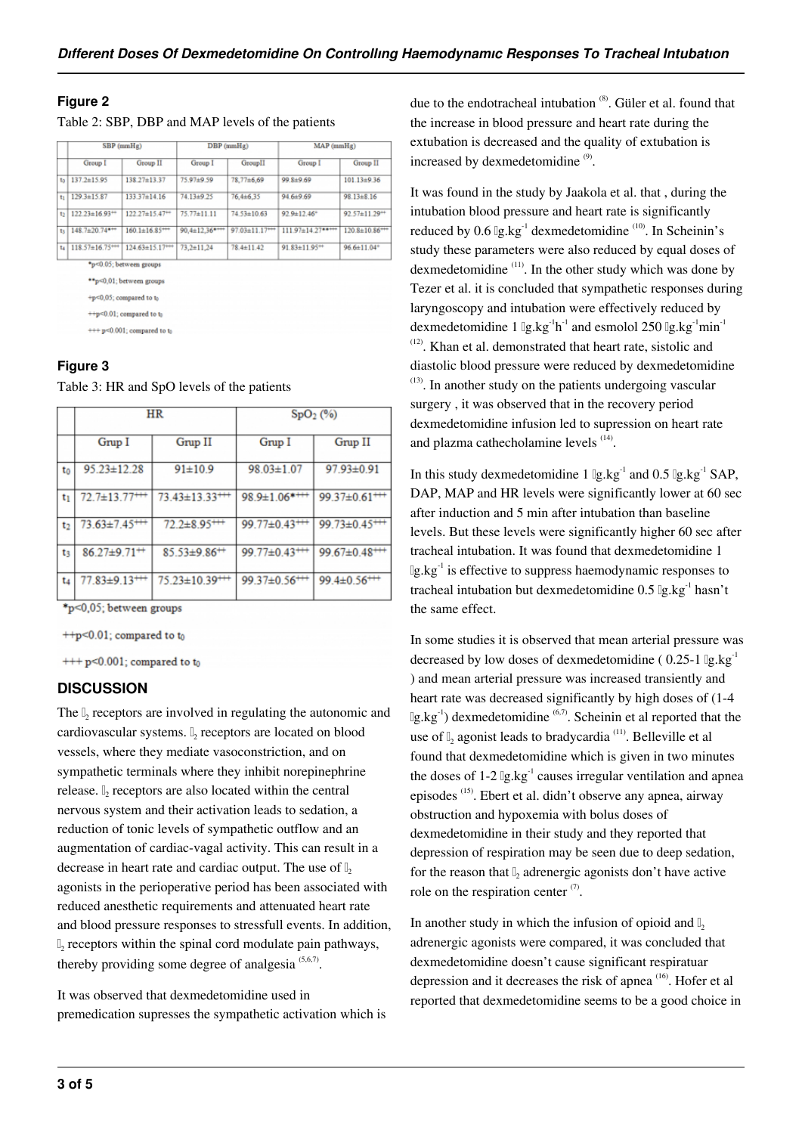## **Figure 2**

|     | $SBP$ (mm $Hg$ )      |                                  | $DBP$ (mmHg)          |                               | $MAP$ ( $mmHg$ )              |                                  |
|-----|-----------------------|----------------------------------|-----------------------|-------------------------------|-------------------------------|----------------------------------|
|     | Group I               | Group II                         | Group I               | GroupII                       | Group I                       | Group II                         |
| to  | $137.2 \pm 15.95$     | 138 27 ± 13 37                   | 75 97±9 59            | 78,77±6,69                    | 99.8±9.69                     | $101.13 \pm 9.36$                |
| tı. | $129.3 \pm 15.87$     | $133.37 \pm 14.16$               | 74 13±9 25            | 76.4±6.35                     | $94.6 \pm 9.69$               | 98.13±8.16                       |
| t2  | $122.23 \pm 16.93 +$  | $122.27 \pm 15.47 +$             | 75.77±11.11           | $74.53 \pm 10.63$             | $92.9 \pm 12.46$ <sup>+</sup> | 92.57±11.29 <sup>++</sup>        |
| ts  | $148.7 \pm 20.74$ *** | $160.1 \pm 16.85$ <sup>***</sup> | $90,4 \pm 12,36$ **** | $97.03 \pm 11.17 \rightarrow$ | $111.97 \pm 14.27$ *****      | $120.8 \pm 10.86$ <sup>***</sup> |
| t.  | $118.57 \pm 16.75***$ | $124.63 \pm 15.17***$            | $73.2 \pm 11.24$      | 78.4±11.42                    | 91.83±11.95 <sup>++</sup>     | 96.6±11.04*                      |
|     |                       | *p<0.05; between groups          |                       |                               |                               |                                  |
|     |                       | **p<0,01; between groups         |                       |                               |                               |                                  |

+p<0,05; compared to to

++p<0.01; compared to t

 $++p<0.001$ : compared to to

## **Figure 3**

Table 3: HR and SpO levels of the patients

|    |                                 | <b>HR</b>                        | SpO <sub>2</sub> (%)             |                                 |  |
|----|---------------------------------|----------------------------------|----------------------------------|---------------------------------|--|
|    | Grup I                          | Grup II                          | Grup I                           | Grup II                         |  |
| t٥ | $95.23 \pm 12.28$               | $91 \pm 10.9$                    | $98.03 \pm 1.07$                 | 97.93±0.91                      |  |
| tı | $72.7 \pm 13.77 \pm 1$          | $73.43 \pm 13.33 \rightarrow 7$  | $98.9 \pm 1.06$ ****             | $99.37 \pm 0.61$ <sup>***</sup> |  |
| t2 | $73.63 \pm 7.45$ <sup>***</sup> | $72.2 \pm 8.95$ <sup>***</sup>   | 99.77±0.43+++                    | $99.73 \pm 0.45$ <sup>***</sup> |  |
| t٤ | $86.27 \pm 9.71 +$              | $85.53 \pm 9.86 +$               | $99.77 \pm 0.43$ <sup>****</sup> | $99.67 \pm 0.48$ <sup>***</sup> |  |
| t4 | $77.83 \pm 9.13 \rightarrow$    | $75.23 \pm 10.39$ <sup>***</sup> | $99.37 \pm 0.56$ <sup>***</sup>  | $99.4 \pm 0.56$ <sup>***</sup>  |  |

\*p<0,05; between groups

 $++p<0.01$ ; compared to to

 $++$  p<0.001; compared to to

## **DISCUSSION**

The  $\mathbb{I}_2$  receptors are involved in regulating the autonomic and cardiovascular systems.  $\mathbb{I}_2$  receptors are located on blood vessels, where they mediate vasoconstriction, and on sympathetic terminals where they inhibit norepinephrine release.  $\mathbb{I}_2$  receptors are also located within the central nervous system and their activation leads to sedation, a reduction of tonic levels of sympathetic outflow and an augmentation of cardiac-vagal activity. This can result in a decrease in heart rate and cardiac output. The use of  $\mathbb{I}$ , agonists in the perioperative period has been associated with reduced anesthetic requirements and attenuated heart rate and blood pressure responses to stressfull events. In addition, 2 receptors within the spinal cord modulate pain pathways, thereby providing some degree of analgesia  $(5,6,7)$ .

It was observed that dexmedetomidine used in premedication supresses the sympathetic activation which is due to the endotracheal intubation  $(8)$ . Güler et al. found that the increase in blood pressure and heart rate during the extubation is decreased and the quality of extubation is increased by dexmedetomidine<sup>(9)</sup>.

It was found in the study by Jaakola et al. that , during the intubation blood pressure and heart rate is significantly reduced by  $0.6 \lg \lg \lg^{-1}$  dexmedetomidine  $(10)$ . In Scheinin's study these parameters were also reduced by equal doses of dexmedetomidine  $(11)$ . In the other study which was done by Tezer et al. it is concluded that sympathetic responses during laryngoscopy and intubation were effectively reduced by dexmedetomidine 1  $\lg$ .kg<sup>-1</sup>h<sup>-1</sup> and esmolol 250  $\lg$ .kg<sup>-1</sup>min<sup>-1</sup>  $(12)$ . Khan et al. demonstrated that heart rate, sistolic and diastolic blood pressure were reduced by dexmedetomidine  $(13)$ . In another study on the patients undergoing vascular surgery , it was observed that in the recovery period dexmedetomidine infusion led to supression on heart rate and plazma cathecholamine levels <sup>(14)</sup>.

In this study dexmedetomidine 1  $\lg \lg \lg^{-1}$  and 0.5  $\lg \lg^{-1}$  SAP, DAP, MAP and HR levels were significantly lower at 60 sec after induction and 5 min after intubation than baseline levels. But these levels were significantly higher 60 sec after tracheal intubation. It was found that dexmedetomidine 1  $\lg$ .kg<sup>-1</sup> is effective to suppress haemodynamic responses to tracheal intubation but dexmedetomidine  $0.5 \lg \log^{-1}$  hasn't the same effect.

In some studies it is observed that mean arterial pressure was decreased by low doses of dexmedetomidine (  $0.25$ -1  $\lg \text{kg}^{-1}$ ) and mean arterial pressure was increased transiently and heart rate was decreased significantly by high doses of (1-4  $\lg \lg \lg^{-1}$ ) dexmedetomidine <sup>(6,7)</sup>. Scheinin et al reported that the use of  $\mathbb{I}_2$  agonist leads to bradycardia<sup>(11)</sup>. Belleville et al found that dexmedetomidine which is given in two minutes the doses of  $1-2 \lg \log^{-1}$  causes irregular ventilation and apnea episodes (15). Ebert et al. didn't observe any apnea, airway obstruction and hypoxemia with bolus doses of dexmedetomidine in their study and they reported that depression of respiration may be seen due to deep sedation, for the reason that  $\mathbb{I}_2$  adrenergic agonists don't have active role on the respiration center  $(7)$ .

In another study in which the infusion of opioid and  $\mathbb{I}$ , adrenergic agonists were compared, it was concluded that dexmedetomidine doesn't cause significant respiratuar depression and it decreases the risk of apnea (16). Hofer et al reported that dexmedetomidine seems to be a good choice in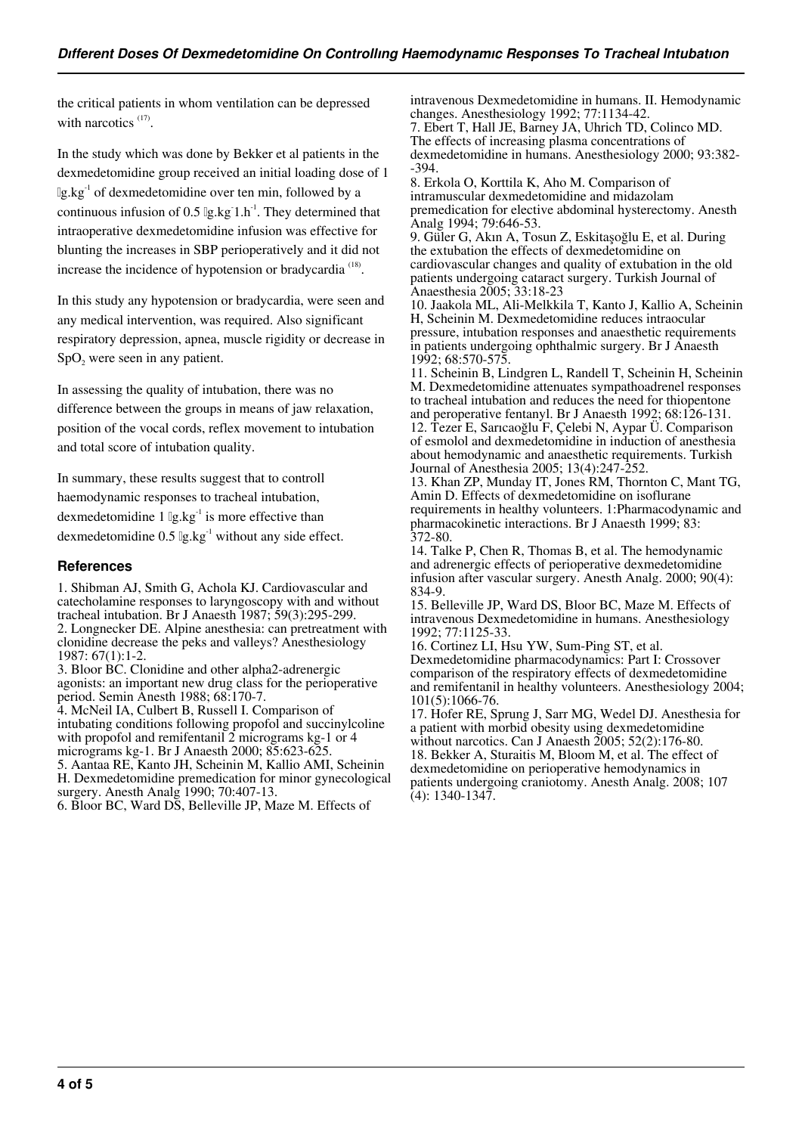the critical patients in whom ventilation can be depressed with narcotics  $(17)$ .

In the study which was done by Bekker et al patients in the dexmedetomidine group received an initial loading dose of 1 μg.kg-1 of dexmedetomidine over ten min, followed by a continuous infusion of 0.5  $\lg$ .kg 1.h<sup>-1</sup>. They determined that intraoperative dexmedetomidine infusion was effective for blunting the increases in SBP perioperatively and it did not increase the incidence of hypotension or bradycardia<sup>(18)</sup>.

In this study any hypotension or bradycardia, were seen and any medical intervention, was required. Also significant respiratory depression, apnea, muscle rigidity or decrease in  $SpO<sub>2</sub>$  were seen in any patient.

In assessing the quality of intubation, there was no difference between the groups in means of jaw relaxation, position of the vocal cords, reflex movement to intubation and total score of intubation quality.

In summary, these results suggest that to controll haemodynamic responses to tracheal intubation, dexmedetomidine 1  $\lg$ .kg<sup>-1</sup> is more effective than dexmedetomidine  $0.5 \lg \lg \lg$ <sup>1</sup> without any side effect.

#### **References**

1. Shibman AJ, Smith G, Achola KJ. Cardiovascular and catecholamine responses to laryngoscopy with and without tracheal intubation. Br J Anaesth 1987; 59(3):295-299. 2. Longnecker DE. Alpine anesthesia: can pretreatment with clonidine decrease the peks and valleys? Anesthesiology 1987: 67(1):1-2.

3. Bloor BC. Clonidine and other alpha2-adrenergic agonists: an important new drug class for the perioperative period. Semin Anesth 1988; 68:170-7.

4. McNeil IA, Culbert B, Russell I. Comparison of intubating conditions following propofol and succinylcoline with propofol and remifentanil 2 micrograms kg-1 or 4 micrograms kg-1. Br J Anaesth 2000; 85:623-625.

5. Aantaa RE, Kanto JH, Scheinin M, Kallio AMI, Scheinin H. Dexmedetomidine premedication for minor gynecological surgery. Anesth Analg 1990; 70:407-13.

6. Bloor BC, Ward DS, Belleville JP, Maze M. Effects of

intravenous Dexmedetomidine in humans. II. Hemodynamic changes. Anesthesiology 1992; 77:1134-42. 7. Ebert T, Hall JE, Barney JA, Uhrich TD, Colinco MD. The effects of increasing plasma concentrations of dexmedetomidine in humans. Anesthesiology 2000; 93:382-

-394. 8. Erkola O, Korttila K, Aho M. Comparison of intramuscular dexmedetomidine and midazolam premedication for elective abdominal hysterectomy. Anesth Analg 1994; 79:646-53.

9. Güler G, Akın A, Tosun Z, Eskitaşoğlu E, et al. During the extubation the effects of dexmedetomidine on cardiovascular changes and quality of extubation in the old patients undergoing cataract surgery. Turkish Journal of Anaesthesia 2005; 33:18-23

10. Jaakola ML, Ali-Melkkila T, Kanto J, Kallio A, Scheinin H, Scheinin M. Dexmedetomidine reduces intraocular pressure, intubation responses and anaesthetic requirements in patients undergoing ophthalmic surgery. Br J Anaesth 1992; 68:570-575.

11. Scheinin B, Lindgren L, Randell T, Scheinin H, Scheinin M. Dexmedetomidine attenuates sympathoadrenel responses to tracheal intubation and reduces the need for thiopentone and peroperative fentanyl. Br J Anaesth 1992; 68:126-131. 12. Tezer E, Sarıcaoğlu F, Çelebi N, Aypar Ü. Comparison of esmolol and dexmedetomidine in induction of anesthesia about hemodynamic and anaesthetic requirements. Turkish Journal of Anesthesia 2005; 13(4):247-252.

13. Khan ZP, Munday IT, Jones RM, Thornton C, Mant TG, Amin D. Effects of dexmedetomidine on isoflurane requirements in healthy volunteers. 1:Pharmacodynamic and pharmacokinetic interactions. Br J Anaesth 1999; 83: 372-80.

14. Talke P, Chen R, Thomas B, et al. The hemodynamic and adrenergic effects of perioperative dexmedetomidine infusion after vascular surgery. Anesth Analg. 2000; 90(4): 834-9.

15. Belleville JP, Ward DS, Bloor BC, Maze M. Effects of intravenous Dexmedetomidine in humans. Anesthesiology 1992; 77:1125-33.

16. Cortinez LI, Hsu YW, Sum-Ping ST, et al. Dexmedetomidine pharmacodynamics: Part I: Crossover comparison of the respiratory effects of dexmedetomidine and remifentanil in healthy volunteers. Anesthesiology 2004; 101(5):1066-76.

17. Hofer RE, Sprung J, Sarr MG, Wedel DJ. Anesthesia for a patient with morbid obesity using dexmedetomidine without narcotics. Can J Anaesth 2005; 52(2):176-80. 18. Bekker A, Sturaitis M, Bloom M, et al. The effect of dexmedetomidine on perioperative hemodynamics in patients undergoing craniotomy. Anesth Analg. 2008; 107 (4): 1340-1347.